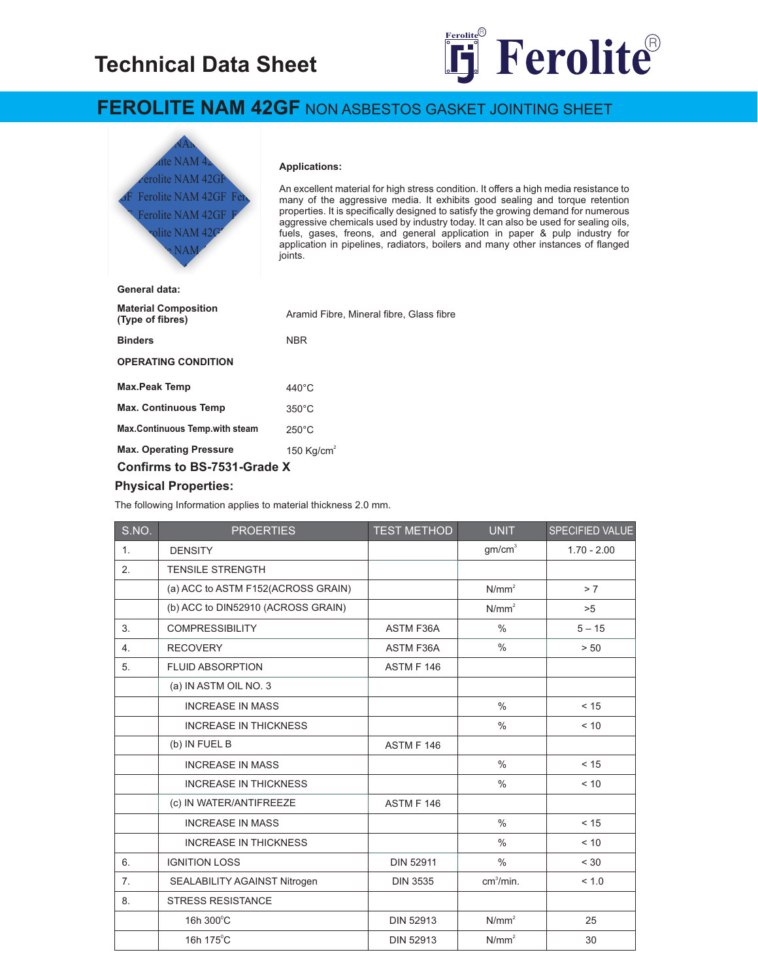# **Technical Data Sheet**



## **FEROLITE NAM 42GF** NON ASBESTOS GASKET JOINTING SHEET



#### Applications:

An excellent material for high stress condition. It offers a high media resistance to Feb, many of the aggressive media. It exhibits good sealing and torque retention properties. It is specifically designed to satisfy the growing demand for numerous  $\mathbf{F}$ aggressive chemicals used by industry today. It can also be used for sealing oils, fuels, gases, freons, and general application in paper & pulp industry for application in pipelines, radiators, boilers and many other instances of flanged applications<br>joints.

| General data:                                   |                                          |  |
|-------------------------------------------------|------------------------------------------|--|
| <b>Material Composition</b><br>(Type of fibres) | Aramid Fibre, Mineral fibre, Glass fibre |  |
| <b>Binders</b>                                  | <b>NBR</b>                               |  |
| <b>OPERATING CONDITION</b>                      |                                          |  |
| <b>Max.Peak Temp</b>                            | $440^{\circ}$ C                          |  |
| <b>Max. Continuous Temp</b>                     | $350^{\circ}$ C                          |  |
| <b>Max.Continuous Temp.with steam</b>           | $250^{\circ}$ C                          |  |
| <b>Max. Operating Pressure</b>                  | 150 Kg/cm <sup>2</sup>                   |  |
| Confirms to BS-7531-Grade X                     |                                          |  |

#### **Physical Properties:**

The following Information applies to material thickness 2.0 mm.

| S.NO. | <b>PROERTIES</b>                   | <b>TEST METHOD</b> | UNIT                  | SPECIFIED VALUE |
|-------|------------------------------------|--------------------|-----------------------|-----------------|
| 1.    | <b>DENSITY</b>                     |                    | gm/cm <sup>3</sup>    | $1.70 - 2.00$   |
| 2.    | <b>TENSILE STRENGTH</b>            |                    |                       |                 |
|       | (a) ACC to ASTM F152(ACROSS GRAIN) |                    | N/mm <sup>2</sup>     | > 7             |
|       | (b) ACC to DIN52910 (ACROSS GRAIN) |                    | N/mm <sup>2</sup>     | >5              |
| 3.    | <b>COMPRESSIBILITY</b>             | <b>ASTM F36A</b>   | $\frac{0}{0}$         | $5 - 15$        |
| 4.    | <b>RECOVERY</b>                    | <b>ASTM F36A</b>   | $\frac{0}{0}$         | > 50            |
| 5.    | <b>FLUID ABSORPTION</b>            | <b>ASTM F 146</b>  |                       |                 |
|       | (a) IN ASTM OIL NO. 3              |                    |                       |                 |
|       | <b>INCREASE IN MASS</b>            |                    | $\frac{0}{0}$         | < 15            |
|       | <b>INCREASE IN THICKNESS</b>       |                    | $\frac{0}{0}$         | < 10            |
|       | (b) IN FUEL B                      | ASTM F 146         |                       |                 |
|       | <b>INCREASE IN MASS</b>            |                    | $\frac{0}{0}$         | < 15            |
|       | <b>INCREASE IN THICKNESS</b>       |                    | $\frac{0}{0}$         | < 10            |
|       | (c) IN WATER/ANTIFREEZE            | <b>ASTM F 146</b>  |                       |                 |
|       | <b>INCREASE IN MASS</b>            |                    | $\frac{0}{0}$         | < 15            |
|       | <b>INCREASE IN THICKNESS</b>       |                    | $\frac{0}{0}$         | < 10            |
| 6.    | <b>IGNITION LOSS</b>               | <b>DIN 52911</b>   | $\frac{0}{0}$         | < 30            |
| 7.    | SEALABILITY AGAINST Nitrogen       | <b>DIN 3535</b>    | cm <sup>3</sup> /min. | < 1.0           |
| 8.    | <b>STRESS RESISTANCE</b>           |                    |                       |                 |
|       | 16h 300°C                          | <b>DIN 52913</b>   | N/mm <sup>2</sup>     | 25              |
|       | 16h 175°C                          | <b>DIN 52913</b>   | N/mm <sup>2</sup>     | 30              |